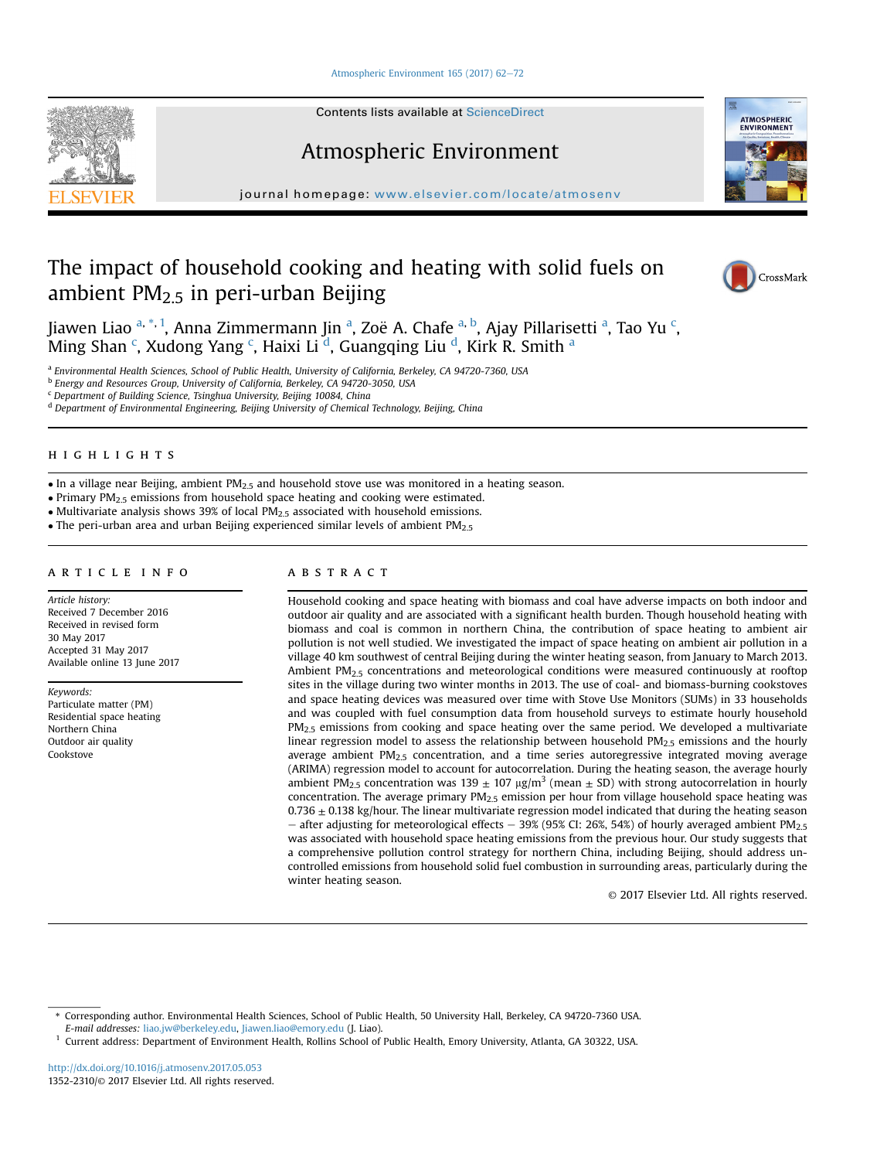# [Atmospheric Environment 165 \(2017\) 62](http://dx.doi.org/10.1016/j.atmosenv.2017.05.053)-[72](http://dx.doi.org/10.1016/j.atmosenv.2017.05.053)

Contents lists available at ScienceDirect

# Atmospheric Environment

journal homepage: <www.elsevier.com/locate/atmosenv>

# The impact of household cooking and heating with solid fuels on ambient  $PM<sub>2.5</sub>$  in peri-urban Beijing



**ATMOSPHERIC**<br>ENVIRONMENT

Jiawen Liao <sup>a, \*, 1</sup>, Anna Zimmermann Jin <sup>a</sup>, Zoë A. Chafe <sup>a, b</sup>, Ajay Pillarisetti <sup>a</sup>, Tao Yu <sup>c</sup>, Ming Shan <sup>c</sup>, Xudong Yang <sup>c</sup>, Haixi Li <sup>d</sup>, Guangqing Liu <sup>d</sup>, Kirk R. Smith <sup>a</sup>

a Environmental Health Sciences, School of Public Health, University of California, Berkeley, CA 94720-7360, USA

<sup>b</sup> Energy and Resources Group, University of California, Berkeley, CA 94720-3050, USA

<sup>c</sup> Department of Building Science, Tsinghua University, Beijing 10084, China

<sup>d</sup> Department of Environmental Engineering, Beijing University of Chemical Technology, Beijing, China

# HIGHLIGHTS

• In a village near Beijing, ambient  $PM<sub>2.5</sub>$  and household stove use was monitored in a heating season.

 $\bullet$  Primary PM<sub>2.5</sub> emissions from household space heating and cooking were estimated.

• Multivariate analysis shows 39% of local  $PM<sub>2.5</sub>$  associated with household emissions.

• The peri-urban area and urban Beijing experienced similar levels of ambient  $PM_{2.5}$ 

Article history: Received 7 December 2016 Received in revised form 30 May 2017 Accepted 31 May 2017 Available online 13 June 2017

Keywords: Particulate matter (PM) Residential space heating Northern China Outdoor air quality Cookstove

# **ARSTRACT**

Household cooking and space heating with biomass and coal have adverse impacts on both indoor and outdoor air quality and are associated with a significant health burden. Though household heating with biomass and coal is common in northern China, the contribution of space heating to ambient air pollution is not well studied. We investigated the impact of space heating on ambient air pollution in a village 40 km southwest of central Beijing during the winter heating season, from January to March 2013. Ambient PM2.5 concentrations and meteorological conditions were measured continuously at rooftop sites in the village during two winter months in 2013. The use of coal- and biomass-burning cookstoves and space heating devices was measured over time with Stove Use Monitors (SUMs) in 33 households and was coupled with fuel consumption data from household surveys to estimate hourly household  $PM<sub>2.5</sub>$  emissions from cooking and space heating over the same period. We developed a multivariate linear regression model to assess the relationship between household  $PM_{2.5}$  emissions and the hourly average ambient PM<sub>2.5</sub> concentration, and a time series autoregressive integrated moving average (ARIMA) regression model to account for autocorrelation. During the heating season, the average hourly ambient PM<sub>2.5</sub> concentration was 139  $\pm$  107 µg/m<sup>3</sup> (mean  $\pm$  SD) with strong autocorrelation in hourly concentration. The average primary  $PM_{2.5}$  emission per hour from village household space heating was  $0.736 \pm 0.138$  kg/hour. The linear multivariate regression model indicated that during the heating season – after adjusting for meteorological effects – 39% (95% CI: 26%, 54%) of hourly averaged ambient PM<sub>2.5</sub> was associated with household space heating emissions from the previous hour. Our study suggests that a comprehensive pollution control strategy for northern China, including Beijing, should address uncontrolled emissions from household solid fuel combustion in surrounding areas, particularly during the winter heating season.

© 2017 Elsevier Ltd. All rights reserved.

<http://dx.doi.org/10.1016/j.atmosenv.2017.05.053> 1352-2310/© 2017 Elsevier Ltd. All rights reserved.



<sup>\*</sup> Corresponding author. Environmental Health Sciences, School of Public Health, 50 University Hall, Berkeley, CA 94720-7360 USA. E-mail addresses: [liao.jw@berkeley.edu,](mailto:liao.jw@berkeley.edu) [Jiawen.liao@emory.edu](mailto:Jiawen.liao@emory.edu) (J. Liao).

<sup>1</sup> Current address: Department of Environment Health, Rollins School of Public Health, Emory University, Atlanta, GA 30322, USA.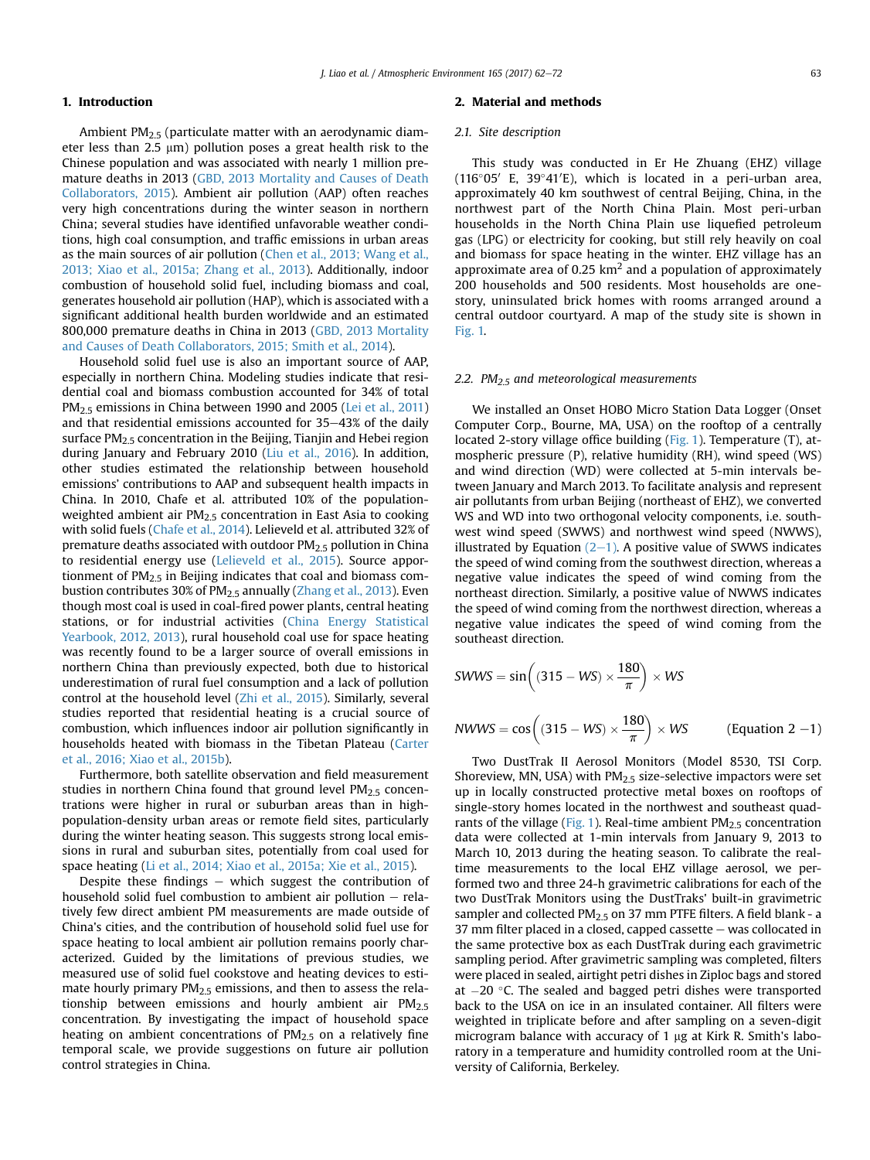# 1. Introduction

Ambient PM2.5 (particulate matter with an aerodynamic diameter less than 2.5  $\mu$ m) pollution poses a great health risk to the Chinese population and was associated with nearly 1 million premature deaths in 2013 [\(GBD, 2013 Mortality and Causes of Death](#page-9-0) [Collaborators, 2015\)](#page-9-0). Ambient air pollution (AAP) often reaches very high concentrations during the winter season in northern China; several studies have identified unfavorable weather conditions, high coal consumption, and traffic emissions in urban areas as the main sources of air pollution ([Chen et al., 2013; Wang et al.,](#page-9-0) [2013; Xiao et al., 2015a; Zhang et al., 2013](#page-9-0)). Additionally, indoor combustion of household solid fuel, including biomass and coal, generates household air pollution (HAP), which is associated with a significant additional health burden worldwide and an estimated 800,000 premature deaths in China in 2013 [\(GBD, 2013 Mortality](#page-9-0) [and Causes of Death Collaborators, 2015; Smith et al., 2014\)](#page-9-0).

Household solid fuel use is also an important source of AAP, especially in northern China. Modeling studies indicate that residential coal and biomass combustion accounted for 34% of total PM<sub>2.5</sub> emissions in China between 1990 and 2005 ([Lei et al., 2011\)](#page-9-0) and that residential emissions accounted for  $35-43%$  of the daily surface  $PM<sub>2.5</sub>$  concentration in the Beijing, Tianjin and Hebei region during January and February 2010 ([Liu et al., 2016\)](#page-9-0). In addition, other studies estimated the relationship between household emissions' contributions to AAP and subsequent health impacts in China. In 2010, Chafe et al. attributed 10% of the populationweighted ambient air  $PM<sub>2.5</sub>$  concentration in East Asia to cooking with solid fuels ([Chafe et al., 2014\)](#page-9-0). Lelieveld et al. attributed 32% of premature deaths associated with outdoor PM2.5 pollution in China to residential energy use [\(Lelieveld et al., 2015](#page-9-0)). Source apportionment of  $PM<sub>2.5</sub>$  in Beijing indicates that coal and biomass combustion contributes 30% of PM2.5 annually [\(Zhang et al., 2013](#page-10-0)). Even though most coal is used in coal-fired power plants, central heating stations, or for industrial activities ([China Energy Statistical](#page-9-0) [Yearbook, 2012, 2013](#page-9-0)), rural household coal use for space heating was recently found to be a larger source of overall emissions in northern China than previously expected, both due to historical underestimation of rural fuel consumption and a lack of pollution control at the household level [\(Zhi et al., 2015](#page-10-0)). Similarly, several studies reported that residential heating is a crucial source of combustion, which influences indoor air pollution significantly in households heated with biomass in the Tibetan Plateau [\(Carter](#page-9-0) [et al., 2016; Xiao et al., 2015b\)](#page-9-0).

Furthermore, both satellite observation and field measurement studies in northern China found that ground level  $PM<sub>2.5</sub>$  concentrations were higher in rural or suburban areas than in highpopulation-density urban areas or remote field sites, particularly during the winter heating season. This suggests strong local emissions in rural and suburban sites, potentially from coal used for space heating ([Li et al., 2014; Xiao et al., 2015a; Xie et al., 2015\)](#page-9-0).

Despite these findings  $-$  which suggest the contribution of household solid fuel combustion to ambient air pollution  $-$  relatively few direct ambient PM measurements are made outside of China's cities, and the contribution of household solid fuel use for space heating to local ambient air pollution remains poorly characterized. Guided by the limitations of previous studies, we measured use of solid fuel cookstove and heating devices to estimate hourly primary  $PM<sub>2.5</sub>$  emissions, and then to assess the relationship between emissions and hourly ambient air  $PM<sub>2.5</sub>$ concentration. By investigating the impact of household space heating on ambient concentrations of  $PM<sub>2.5</sub>$  on a relatively fine temporal scale, we provide suggestions on future air pollution control strategies in China.

# 2. Material and methods

# 2.1. Site description

This study was conducted in Er He Zhuang (EHZ) village (116°05′ E, 39°41′E), which is located in a peri-urban area, approximately 40 km southwest of central Beijing, China, in the northwest part of the North China Plain. Most peri-urban households in the North China Plain use liquefied petroleum gas (LPG) or electricity for cooking, but still rely heavily on coal and biomass for space heating in the winter. EHZ village has an approximate area of 0.25  $km^2$  and a population of approximately 200 households and 500 residents. Most households are onestory, uninsulated brick homes with rooms arranged around a central outdoor courtyard. A map of the study site is shown in [Fig. 1.](#page-2-0)

# 2.2.  $PM<sub>2.5</sub>$  and meteorological measurements

We installed an Onset HOBO Micro Station Data Logger (Onset Computer Corp., Bourne, MA, USA) on the rooftop of a centrally located 2-story village office building ([Fig. 1](#page-2-0)). Temperature (T), atmospheric pressure (P), relative humidity (RH), wind speed (WS) and wind direction (WD) were collected at 5-min intervals between January and March 2013. To facilitate analysis and represent air pollutants from urban Beijing (northeast of EHZ), we converted WS and WD into two orthogonal velocity components, i.e. southwest wind speed (SWWS) and northwest wind speed (NWWS), illustrated by Equation  $(2-1)$ . A positive value of SWWS indicates the speed of wind coming from the southwest direction, whereas a negative value indicates the speed of wind coming from the northeast direction. Similarly, a positive value of NWWS indicates the speed of wind coming from the northwest direction, whereas a negative value indicates the speed of wind coming from the southeast direction.

$$
SWWS = \sin\left((315 - WS) \times \frac{180}{\pi}\right) \times WS
$$
  
\n
$$
NWWS = \cos\left((315 - WS) \times \frac{180}{\pi}\right) \times WS
$$
 (Equation 2 –1)

Two DustTrak II Aerosol Monitors (Model 8530, TSI Corp. Shoreview, MN, USA) with  $PM<sub>2.5</sub>$  size-selective impactors were set up in locally constructed protective metal boxes on rooftops of single-story homes located in the northwest and southeast quad-rants of the village ([Fig. 1](#page-2-0)). Real-time ambient  $PM<sub>2.5</sub>$  concentration data were collected at 1-min intervals from January 9, 2013 to March 10, 2013 during the heating season. To calibrate the realtime measurements to the local EHZ village aerosol, we performed two and three 24-h gravimetric calibrations for each of the two DustTrak Monitors using the DustTraks' built-in gravimetric sampler and collected  $PM<sub>2.5</sub>$  on 37 mm PTFE filters. A field blank - a 37 mm filter placed in a closed, capped cassette  $-$  was collocated in the same protective box as each DustTrak during each gravimetric sampling period. After gravimetric sampling was completed, filters were placed in sealed, airtight petri dishes in Ziploc bags and stored at  $-20$  °C. The sealed and bagged petri dishes were transported back to the USA on ice in an insulated container. All filters were weighted in triplicate before and after sampling on a seven-digit microgram balance with accuracy of 1 µg at Kirk R. Smith's laboratory in a temperature and humidity controlled room at the University of California, Berkeley.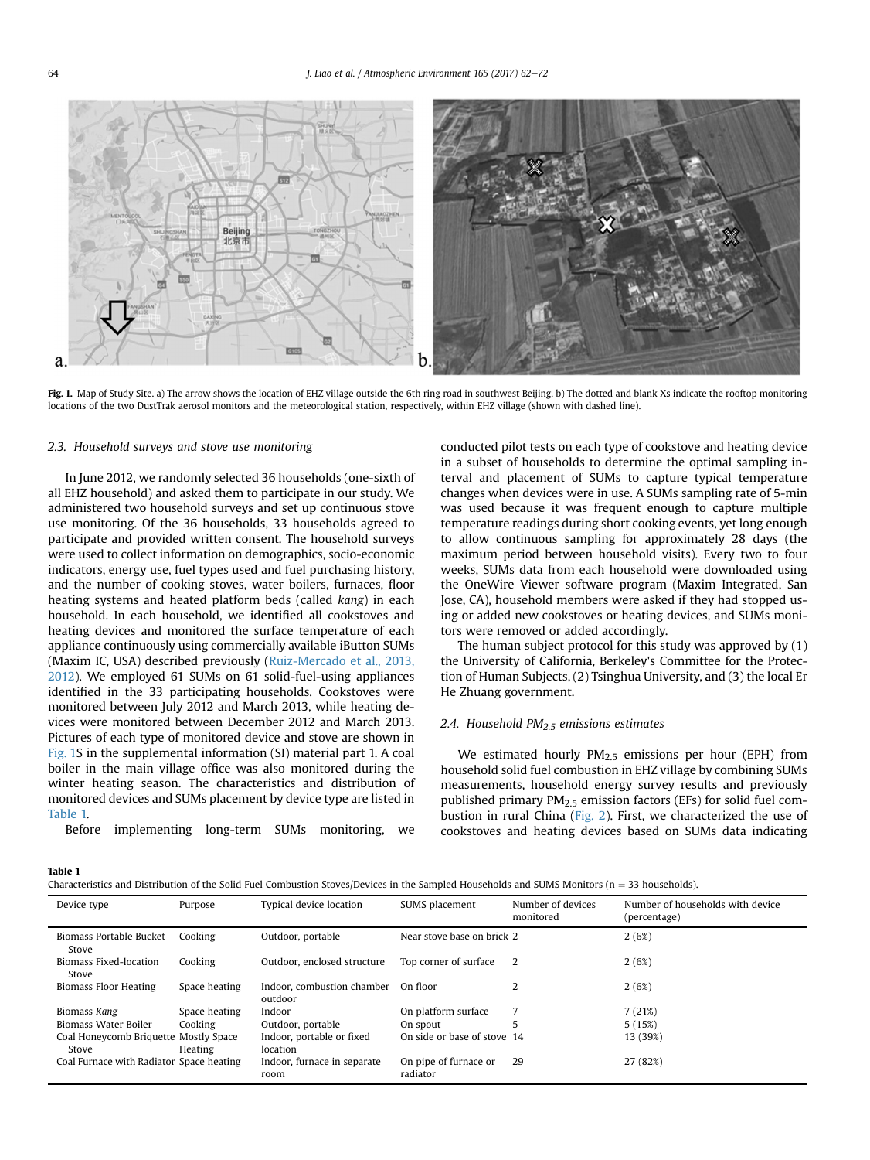<span id="page-2-0"></span>

Fig. 1. Map of Study Site. a) The arrow shows the location of EHZ village outside the 6th ring road in southwest Beijing. b) The dotted and blank Xs indicate the rooftop monitoring locations of the two DustTrak aerosol monitors and the meteorological station, respectively, within EHZ village (shown with dashed line).

#### 2.3. Household surveys and stove use monitoring

In June 2012, we randomly selected 36 households (one-sixth of all EHZ household) and asked them to participate in our study. We administered two household surveys and set up continuous stove use monitoring. Of the 36 households, 33 households agreed to participate and provided written consent. The household surveys were used to collect information on demographics, socio-economic indicators, energy use, fuel types used and fuel purchasing history, and the number of cooking stoves, water boilers, furnaces, floor heating systems and heated platform beds (called kang) in each household. In each household, we identified all cookstoves and heating devices and monitored the surface temperature of each appliance continuously using commercially available iButton SUMs (Maxim IC, USA) described previously [\(Ruiz-Mercado et al., 2013,](#page-10-0) [2012](#page-10-0)). We employed 61 SUMs on 61 solid-fuel-using appliances identified in the 33 participating households. Cookstoves were monitored between July 2012 and March 2013, while heating devices were monitored between December 2012 and March 2013. Pictures of each type of monitored device and stove are shown in Fig. 1S in the supplemental information (SI) material part 1. A coal boiler in the main village office was also monitored during the winter heating season. The characteristics and distribution of monitored devices and SUMs placement by device type are listed in Table 1.

Before implementing long-term SUMs monitoring, we

conducted pilot tests on each type of cookstove and heating device in a subset of households to determine the optimal sampling interval and placement of SUMs to capture typical temperature changes when devices were in use. A SUMs sampling rate of 5-min was used because it was frequent enough to capture multiple temperature readings during short cooking events, yet long enough to allow continuous sampling for approximately 28 days (the maximum period between household visits). Every two to four weeks, SUMs data from each household were downloaded using the OneWire Viewer software program (Maxim Integrated, San Jose, CA), household members were asked if they had stopped using or added new cookstoves or heating devices, and SUMs monitors were removed or added accordingly.

The human subject protocol for this study was approved by (1) the University of California, Berkeley's Committee for the Protection of Human Subjects, (2) Tsinghua University, and (3) the local Er He Zhuang government.

# 2.4. Household  $PM<sub>2.5</sub>$  emissions estimates

We estimated hourly PM<sub>2.5</sub> emissions per hour (EPH) from household solid fuel combustion in EHZ village by combining SUMs measurements, household energy survey results and previously published primary PM2.5 emission factors (EFs) for solid fuel combustion in rural China ([Fig. 2\)](#page-3-0). First, we characterized the use of cookstoves and heating devices based on SUMs data indicating

#### Table 1

| Characteristics and Distribution of the Solid Fuel Combustion Stoves/Devices in the Sampled Households and SUMS Monitors ( $n = 33$ households). |  |
|--------------------------------------------------------------------------------------------------------------------------------------------------|--|
|                                                                                                                                                  |  |

| Device type                                    | Purpose       | Typical device location               | SUMS placement                    | Number of devices<br>monitored | Number of households with device<br>(percentage) |
|------------------------------------------------|---------------|---------------------------------------|-----------------------------------|--------------------------------|--------------------------------------------------|
| Biomass Portable Bucket<br>Stove               | Cooking       | Outdoor, portable                     | Near stove base on brick 2        |                                | 2(6%)                                            |
| <b>Biomass Fixed-location</b><br>Stove         | Cooking       | Outdoor, enclosed structure           | Top corner of surface             | 2                              | 2(6%)                                            |
| <b>Biomass Floor Heating</b>                   | Space heating | Indoor, combustion chamber<br>outdoor | On floor                          | 2                              | 2(6%)                                            |
| Biomass Kang                                   | Space heating | Indoor                                | On platform surface               |                                | 7(21%)                                           |
| <b>Biomass Water Boiler</b>                    | Cooking       | Outdoor, portable                     | On spout                          |                                | 5(15%)                                           |
| Coal Honeycomb Briquette Mostly Space<br>Stove | Heating       | Indoor, portable or fixed<br>location | On side or base of stove 14       |                                | 13 (39%)                                         |
| Coal Furnace with Radiator Space heating       |               | Indoor, furnace in separate<br>room   | On pipe of furnace or<br>radiator | 29                             | 27 (82%)                                         |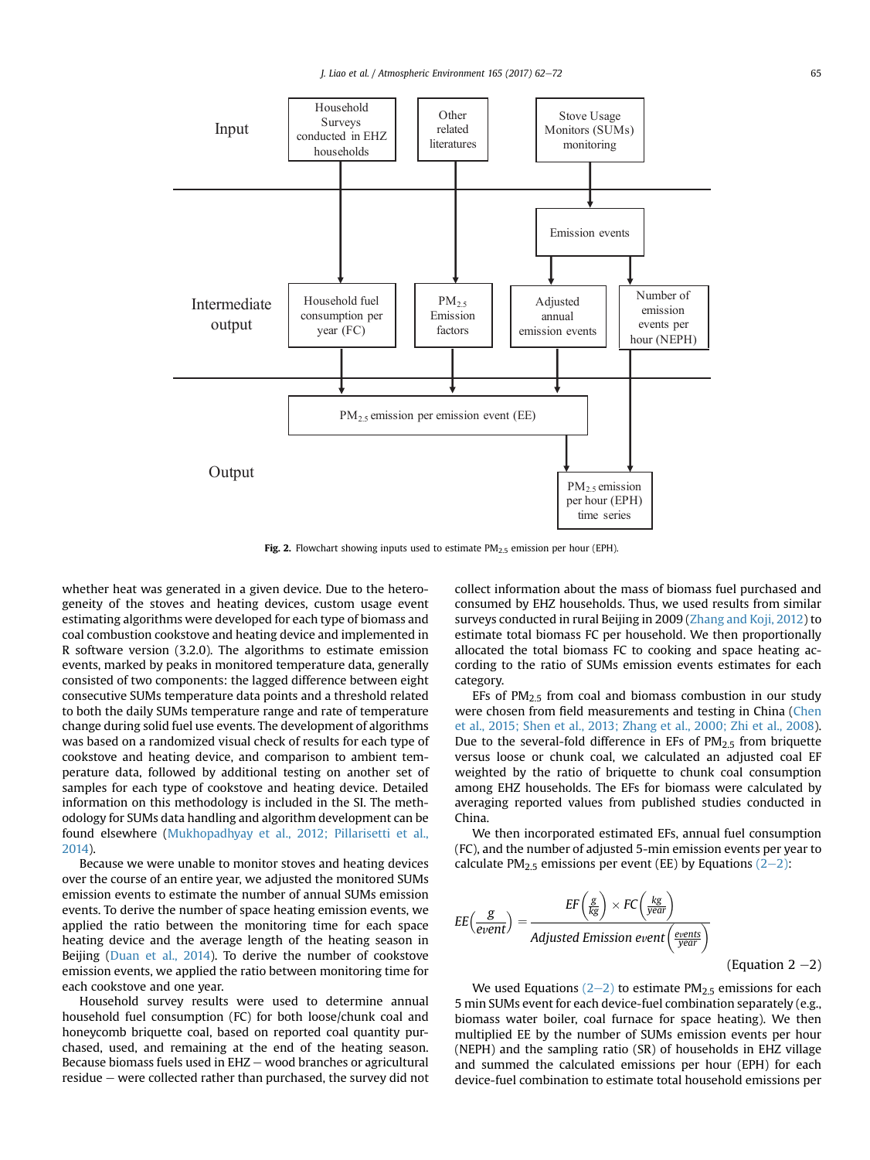<span id="page-3-0"></span>

Fig. 2. Flowchart showing inputs used to estimate  $PM<sub>2.5</sub>$  emission per hour (EPH).

whether heat was generated in a given device. Due to the heterogeneity of the stoves and heating devices, custom usage event estimating algorithms were developed for each type of biomass and coal combustion cookstove and heating device and implemented in R software version (3.2.0). The algorithms to estimate emission events, marked by peaks in monitored temperature data, generally consisted of two components: the lagged difference between eight consecutive SUMs temperature data points and a threshold related to both the daily SUMs temperature range and rate of temperature change during solid fuel use events. The development of algorithms was based on a randomized visual check of results for each type of cookstove and heating device, and comparison to ambient temperature data, followed by additional testing on another set of samples for each type of cookstove and heating device. Detailed information on this methodology is included in the SI. The methodology for SUMs data handling and algorithm development can be found elsewhere ([Mukhopadhyay et al., 2012; Pillarisetti et al.,](#page-9-0) [2014\)](#page-9-0).

Because we were unable to monitor stoves and heating devices over the course of an entire year, we adjusted the monitored SUMs emission events to estimate the number of annual SUMs emission events. To derive the number of space heating emission events, we applied the ratio between the monitoring time for each space heating device and the average length of the heating season in Beijing ([Duan et al., 2014\)](#page-9-0). To derive the number of cookstove emission events, we applied the ratio between monitoring time for each cookstove and one year.

Household survey results were used to determine annual household fuel consumption (FC) for both loose/chunk coal and honeycomb briquette coal, based on reported coal quantity purchased, used, and remaining at the end of the heating season. Because biomass fuels used in  $EHZ$  – wood branches or agricultural  $residue - were collected rather than purchased, the survey did not$  collect information about the mass of biomass fuel purchased and consumed by EHZ households. Thus, we used results from similar surveys conducted in rural Beijing in 2009 ([Zhang and Koji, 2012](#page-10-0)) to estimate total biomass FC per household. We then proportionally allocated the total biomass FC to cooking and space heating according to the ratio of SUMs emission events estimates for each category.

EFs of  $PM<sub>25</sub>$  from coal and biomass combustion in our study were chosen from field measurements and testing in China [\(Chen](#page-9-0) [et al., 2015; Shen et al., 2013; Zhang et al., 2000; Zhi et al., 2008\)](#page-9-0). Due to the several-fold difference in EFs of  $PM<sub>2.5</sub>$  from briquette versus loose or chunk coal, we calculated an adjusted coal EF weighted by the ratio of briquette to chunk coal consumption among EHZ households. The EFs for biomass were calculated by averaging reported values from published studies conducted in China.

We then incorporated estimated EFs, annual fuel consumption (FC), and the number of adjusted 5-min emission events per year to calculate PM<sub>2.5</sub> emissions per event (EE) by Equations  $(2-2)$ :

$$
EE\left(\frac{g}{event}\right) = \frac{EF\left(\frac{g}{kg}\right) \times FC\left(\frac{kg}{year}\right)}{Adjusted Emission event\left(\frac{events}{year}\right)}
$$
\n(Equation 2 -2)

We used Equations  $(2-2)$  to estimate PM<sub>2.5</sub> emissions for each 5 min SUMs event for each device-fuel combination separately (e.g., biomass water boiler, coal furnace for space heating). We then multiplied EE by the number of SUMs emission events per hour (NEPH) and the sampling ratio (SR) of households in EHZ village and summed the calculated emissions per hour (EPH) for each device-fuel combination to estimate total household emissions per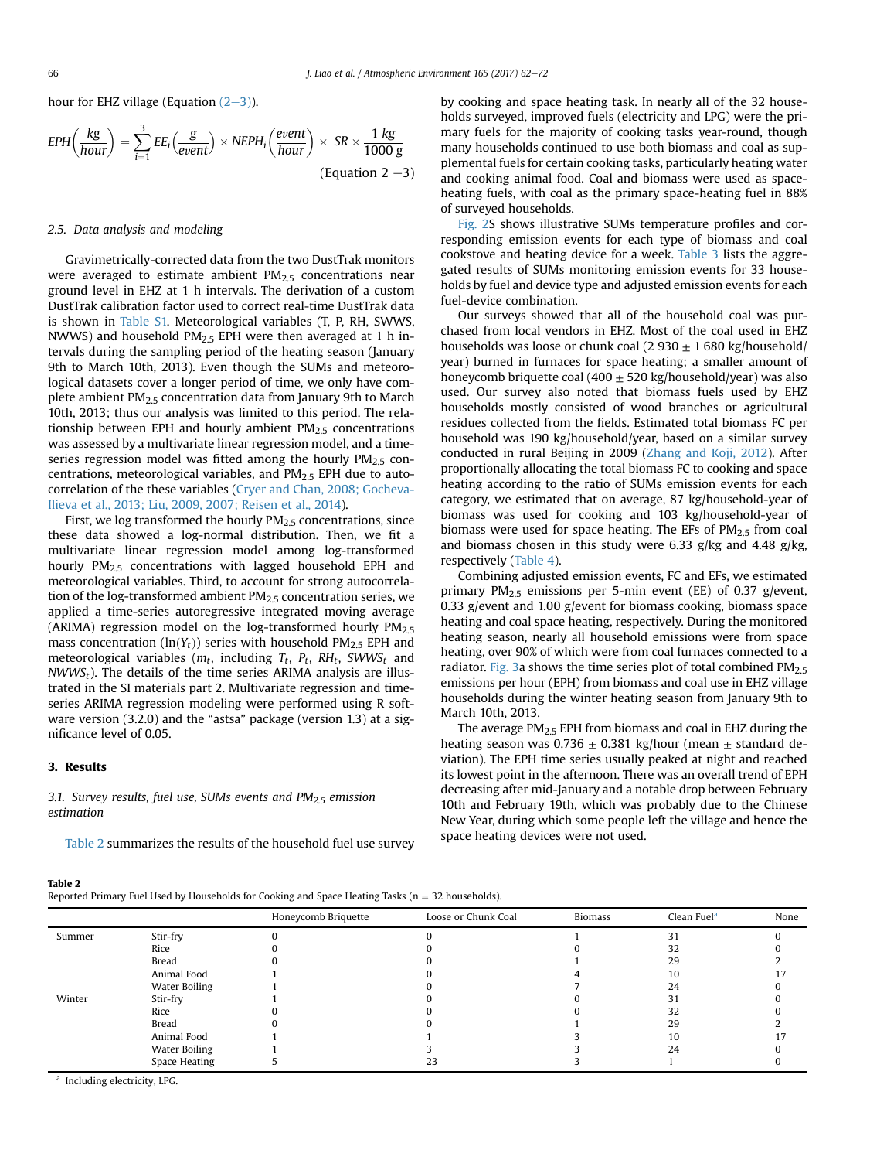hour for EHZ village (Equation  $(2-3)$ ).

$$
EPH\left(\frac{kg}{hour}\right) = \sum_{i=1}^{3} EE_i\left(\frac{g}{event}\right) \times NEPH_i\left(\frac{event}{hour}\right) \times SR \times \frac{1 kg}{1000 g}
$$
\n(Equation 2 -3)

# 2.5. Data analysis and modeling

Gravimetrically-corrected data from the two DustTrak monitors were averaged to estimate ambient  $PM<sub>2.5</sub>$  concentrations near ground level in EHZ at 1 h intervals. The derivation of a custom DustTrak calibration factor used to correct real-time DustTrak data is shown in Table S1. Meteorological variables (T, P, RH, SWWS, NWWS) and household  $PM<sub>2.5</sub>$  EPH were then averaged at 1 h intervals during the sampling period of the heating season (January 9th to March 10th, 2013). Even though the SUMs and meteorological datasets cover a longer period of time, we only have complete ambient  $PM<sub>2.5</sub>$  concentration data from January 9th to March 10th, 2013; thus our analysis was limited to this period. The relationship between EPH and hourly ambient  $PM<sub>2.5</sub>$  concentrations was assessed by a multivariate linear regression model, and a timeseries regression model was fitted among the hourly  $PM<sub>2.5</sub>$  concentrations, meteorological variables, and  $PM<sub>2.5</sub>$  EPH due to autocorrelation of the these variables ([Cryer and Chan, 2008; Gocheva-](#page-9-0)[Ilieva et al., 2013; Liu, 2009, 2007; Reisen et al., 2014\)](#page-9-0).

First, we log transformed the hourly  $PM<sub>2.5</sub>$  concentrations, since these data showed a log-normal distribution. Then, we fit a multivariate linear regression model among log-transformed hourly PM2.5 concentrations with lagged household EPH and meteorological variables. Third, to account for strong autocorrelation of the log-transformed ambient PM2.5 concentration series, we applied a time-series autoregressive integrated moving average (ARIMA) regression model on the log-transformed hourly  $PM_{2.5}$ mass concentration ( $ln(Y_t)$ ) series with household PM<sub>2.5</sub> EPH and meteorological variables ( $m_t$ , including  $T_t$ ,  $P_t$ ,  $RH_t$ , SWWS<sub>t</sub> and  $NWWS<sub>t</sub>$ ). The details of the time series ARIMA analysis are illustrated in the SI materials part 2. Multivariate regression and timeseries ARIMA regression modeling were performed using R software version (3.2.0) and the "astsa" package (version 1.3) at a significance level of 0.05.

# 3. Results

Table 2

3.1. Survey results, fuel use, SUMs events and  $PM<sub>2.5</sub>$  emission estimation

Table 2 summarizes the results of the household fuel use survey

by cooking and space heating task. In nearly all of the 32 households surveyed, improved fuels (electricity and LPG) were the primary fuels for the majority of cooking tasks year-round, though many households continued to use both biomass and coal as supplemental fuels for certain cooking tasks, particularly heating water and cooking animal food. Coal and biomass were used as spaceheating fuels, with coal as the primary space-heating fuel in 88% of surveyed households.

Fig. 2S shows illustrative SUMs temperature profiles and corresponding emission events for each type of biomass and coal cookstove and heating device for a week. [Table 3](#page-5-0) lists the aggregated results of SUMs monitoring emission events for 33 households by fuel and device type and adjusted emission events for each fuel-device combination.

Our surveys showed that all of the household coal was purchased from local vendors in EHZ. Most of the coal used in EHZ households was loose or chunk coal (2 930  $\pm$  1 680 kg/household/ year) burned in furnaces for space heating; a smaller amount of honeycomb briquette coal (400  $\pm$  520 kg/household/year) was also used. Our survey also noted that biomass fuels used by EHZ households mostly consisted of wood branches or agricultural residues collected from the fields. Estimated total biomass FC per household was 190 kg/household/year, based on a similar survey conducted in rural Beijing in 2009 ([Zhang and Koji, 2012\)](#page-10-0). After proportionally allocating the total biomass FC to cooking and space heating according to the ratio of SUMs emission events for each category, we estimated that on average, 87 kg/household-year of biomass was used for cooking and 103 kg/household-year of biomass were used for space heating. The EFs of  $PM<sub>2.5</sub>$  from coal and biomass chosen in this study were 6.33 g/kg and 4.48 g/kg, respectively ([Table 4\)](#page-5-0).

Combining adjusted emission events, FC and EFs, we estimated primary  $PM_{2.5}$  emissions per 5-min event (EE) of 0.37 g/event, 0.33 g/event and 1.00 g/event for biomass cooking, biomass space heating and coal space heating, respectively. During the monitored heating season, nearly all household emissions were from space heating, over 90% of which were from coal furnaces connected to a radiator. [Fig. 3](#page-6-0)a shows the time series plot of total combined  $PM_{2.5}$ emissions per hour (EPH) from biomass and coal use in EHZ village households during the winter heating season from January 9th to March 10th, 2013.

The average  $PM<sub>2.5</sub>$  EPH from biomass and coal in EHZ during the heating season was 0.736  $\pm$  0.381 kg/hour (mean  $\pm$  standard deviation). The EPH time series usually peaked at night and reached its lowest point in the afternoon. There was an overall trend of EPH decreasing after mid-January and a notable drop between February 10th and February 19th, which was probably due to the Chinese New Year, during which some people left the village and hence the space heating devices were not used.

|        |                      | Honeycomb Briquette | Loose or Chunk Coal | <b>Biomass</b> | Clean Fuel <sup>a</sup> | None |
|--------|----------------------|---------------------|---------------------|----------------|-------------------------|------|
| Summer | Stir-fry             |                     |                     |                | 31                      |      |
|        | Rice                 |                     |                     |                | 32                      |      |
|        | Bread                |                     |                     |                | 29                      |      |
|        | Animal Food          |                     |                     |                | 10                      |      |
|        | Water Boiling        |                     |                     |                | 24                      |      |
| Winter | Stir-fry             |                     |                     |                | 31                      |      |
|        | Rice                 |                     |                     |                | 32                      |      |
|        | Bread                |                     |                     |                | 29                      |      |
|        | Animal Food          |                     |                     |                | 10                      |      |
|        | <b>Water Boiling</b> |                     |                     |                | 24                      |      |
|        | Space Heating        |                     | 23                  |                |                         |      |

<sup>a</sup> Including electricity, LPG.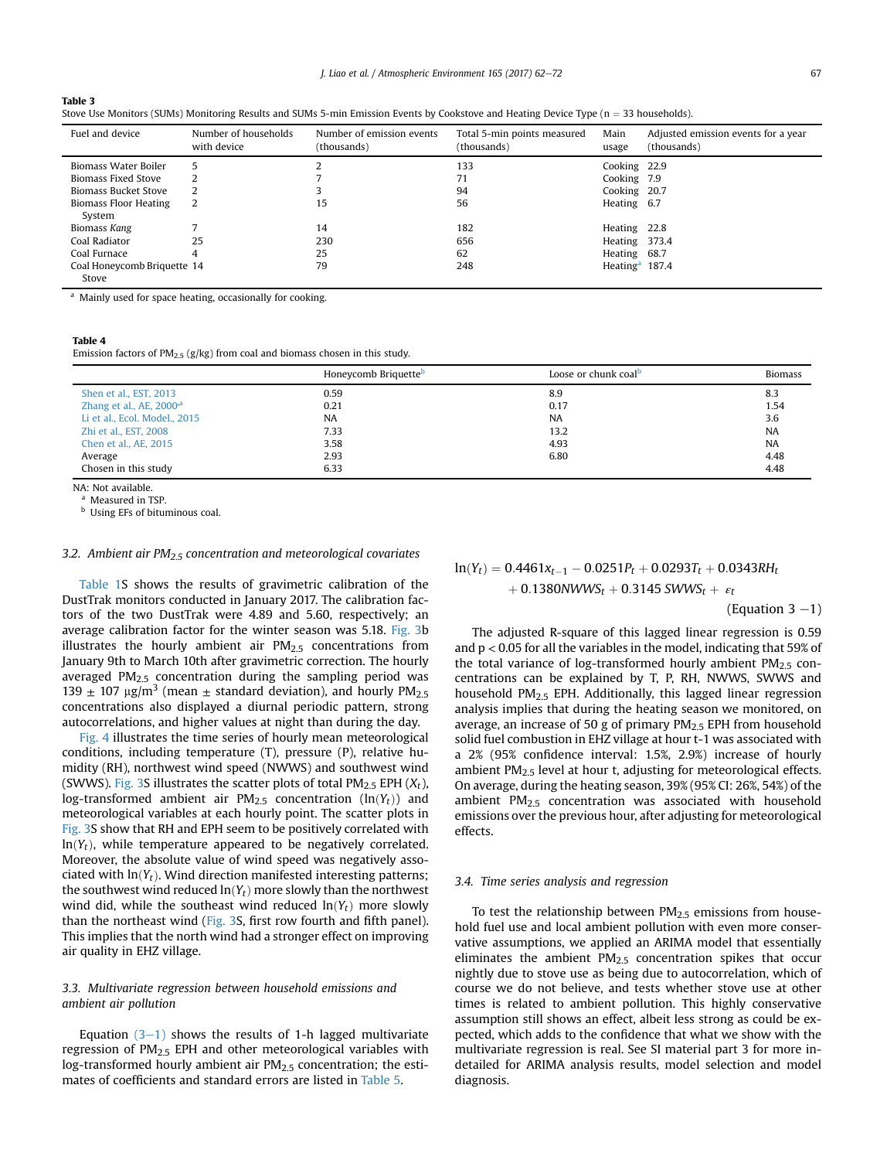<span id="page-5-0"></span>

|--|--|

| Stove Use Monitors (SUMs) Monitoring Results and SUMs 5-min Emission Events by Cookstove and Heating Device Type (n = 33 households). |  |  |
|---------------------------------------------------------------------------------------------------------------------------------------|--|--|
|                                                                                                                                       |  |  |

| Fuel and device                        | Number of households<br>with device | Number of emission events<br>(thousands) | Total 5-min points measured<br>(thousands) | Main<br>usage     | Adjusted emission events for a year<br>(thousands) |
|----------------------------------------|-------------------------------------|------------------------------------------|--------------------------------------------|-------------------|----------------------------------------------------|
| Biomass Water Boiler                   | 5                                   |                                          | 133                                        | Cooking 22.9      |                                                    |
| Biomass Fixed Stove                    |                                     |                                          | 71                                         | Cooking 7.9       |                                                    |
| <b>Biomass Bucket Stove</b>            |                                     |                                          | 94                                         | Cooking 20.7      |                                                    |
| <b>Biomass Floor Heating</b><br>System |                                     | 15                                       | 56                                         | Heating 6.7       |                                                    |
| Biomass Kang                           |                                     | 14                                       | 182                                        | Heating 22.8      |                                                    |
| Coal Radiator                          | 25                                  | 230                                      | 656                                        | Heating 373.4     |                                                    |
| Coal Furnace                           | 4                                   | 25                                       | 62                                         | Heating 68.7      |                                                    |
| Coal Honeycomb Briquette 14<br>Stove   |                                     | 79                                       | 248                                        | Heating $4$ 187.4 |                                                    |

<sup>a</sup> Mainly used for space heating, occasionally for cooking.

#### Table 4

Emission factors of  $PM_{2.5}$  (g/kg) from coal and biomass chosen in this study.

|                                      | Honeycomb Briquette <sup>b</sup> | Loose or chunk coal <sup>b</sup> | <b>Biomass</b> |
|--------------------------------------|----------------------------------|----------------------------------|----------------|
| Shen et al., EST, 2013               | 0.59                             | 8.9                              | 8.3            |
| Zhang et al., AE, 2000 <sup>,a</sup> | 0.21                             | 0.17                             | 1.54           |
| Li et al., Ecol. Model., 2015        | NA                               | <b>NA</b>                        | 3.6            |
| Zhi et al., EST, 2008                | 7.33                             | 13.2                             | <b>NA</b>      |
| Chen et al., AE, 2015                | 3.58                             | 4.93                             | <b>NA</b>      |
| Average                              | 2.93                             | 6.80                             | 4.48           |
| Chosen in this study                 | 6.33                             |                                  | 4.48           |

NA: Not available.

Measured in TSP.

**b** Using EFs of bituminous coal.

#### 3.2. Ambient air  $PM<sub>2.5</sub>$  concentration and meteorological covariates

Table 1S shows the results of gravimetric calibration of the DustTrak monitors conducted in January 2017. The calibration factors of the two DustTrak were 4.89 and 5.60, respectively; an average calibration factor for the winter season was 5.18. [Fig. 3b](#page-6-0) illustrates the hourly ambient air  $PM<sub>2.5</sub>$  concentrations from January 9th to March 10th after gravimetric correction. The hourly averaged  $PM<sub>2.5</sub>$  concentration during the sampling period was 139  $\pm$  107 µg/m<sup>3</sup> (mean  $\pm$  standard deviation), and hourly PM<sub>2.5</sub> concentrations also displayed a diurnal periodic pattern, strong autocorrelations, and higher values at night than during the day.

[Fig. 4](#page-7-0) illustrates the time series of hourly mean meteorological conditions, including temperature (T), pressure (P), relative humidity (RH), northwest wind speed (NWWS) and southwest wind (SWWS). Fig. 3S illustrates the scatter plots of total  $PM_{2,5}$  EPH  $(X_t)$ , log-transformed ambient air  $PM_{2.5}$  concentration (ln(Yt)) and meteorological variables at each hourly point. The scatter plots in Fig. 3S show that RH and EPH seem to be positively correlated with  $ln(Y_t)$ , while temperature appeared to be negatively correlated. Moreover, the absolute value of wind speed was negatively associated with  $ln(Y_t)$ . Wind direction manifested interesting patterns; the southwest wind reduced  $ln(Y_t)$  more slowly than the northwest wind did, while the southeast wind reduced  $ln(Y_t)$  more slowly than the northeast wind (Fig. 3S, first row fourth and fifth panel). This implies that the north wind had a stronger effect on improving air quality in EHZ village.

# 3.3. Multivariate regression between household emissions and ambient air pollution

Equation  $(3-1)$  shows the results of 1-h lagged multivariate regression of PM2.5 EPH and other meteorological variables with log-transformed hourly ambient air  $PM<sub>2.5</sub>$  concentration; the estimates of coefficients and standard errors are listed in [Table 5](#page-7-0).

$$
ln(Y_t) = 0.4461x_{t-1} - 0.0251P_t + 0.0293T_t + 0.0343RH_t + 0.1380NWWs_t + 0.3145 SWWs_t + \varepsilon_t
$$

(Equation  $3 - 1$ )

The adjusted R-square of this lagged linear regression is 0.59 and  $p < 0.05$  for all the variables in the model, indicating that 59% of the total variance of log-transformed hourly ambient  $PM_{2.5}$  concentrations can be explained by T, P, RH, NWWS, SWWS and household PM2.5 EPH. Additionally, this lagged linear regression analysis implies that during the heating season we monitored, on average, an increase of 50 g of primary PM2.5 EPH from household solid fuel combustion in EHZ village at hour t-1 was associated with a 2% (95% confidence interval: 1.5%, 2.9%) increase of hourly ambient  $PM<sub>2.5</sub>$  level at hour t, adjusting for meteorological effects. On average, during the heating season, 39% (95% CI: 26%, 54%) of the ambient PM2.5 concentration was associated with household emissions over the previous hour, after adjusting for meteorological effects.

# 3.4. Time series analysis and regression

To test the relationship between  $PM<sub>2.5</sub>$  emissions from household fuel use and local ambient pollution with even more conservative assumptions, we applied an ARIMA model that essentially eliminates the ambient  $PM<sub>2.5</sub>$  concentration spikes that occur nightly due to stove use as being due to autocorrelation, which of course we do not believe, and tests whether stove use at other times is related to ambient pollution. This highly conservative assumption still shows an effect, albeit less strong as could be expected, which adds to the confidence that what we show with the multivariate regression is real. See SI material part 3 for more indetailed for ARIMA analysis results, model selection and model diagnosis.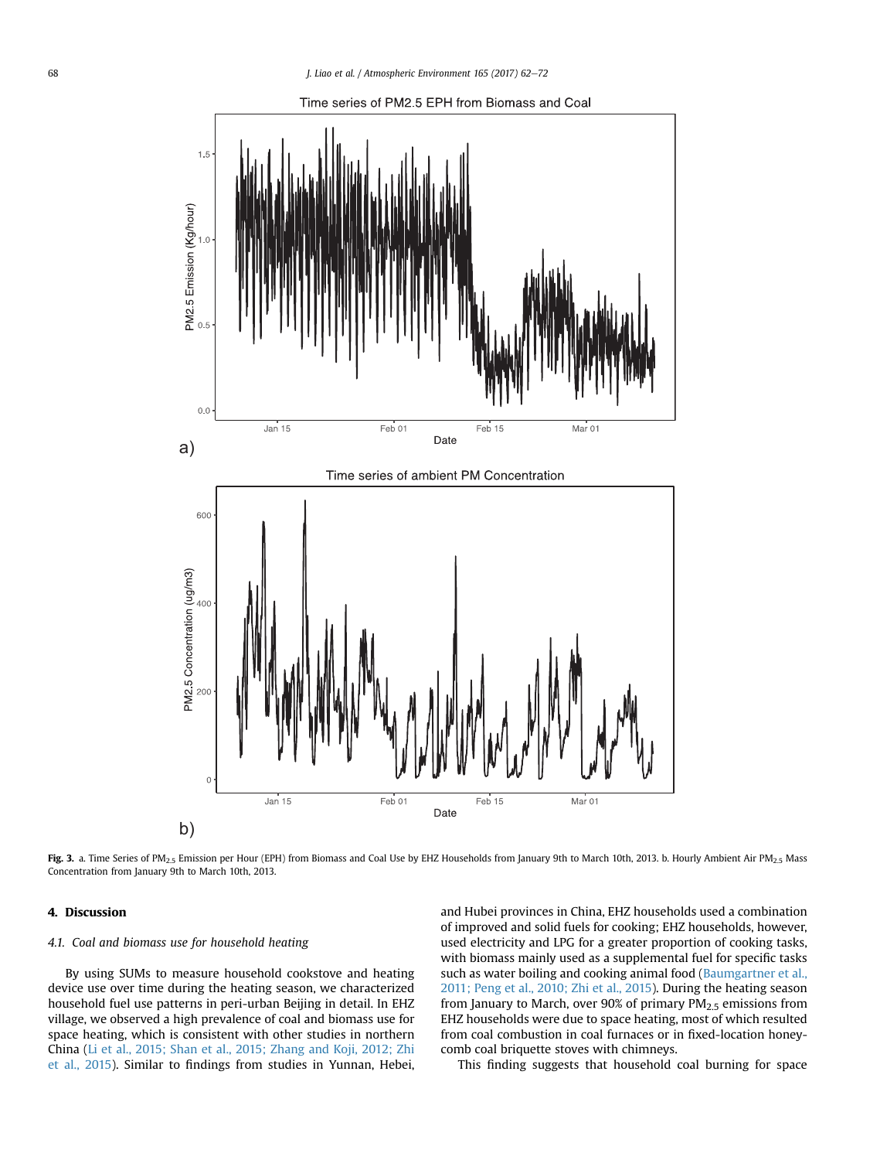<span id="page-6-0"></span>

Fig. 3. a. Time Series of PM<sub>2.5</sub> Emission per Hour (EPH) from Biomass and Coal Use by EHZ Households from January 9th to March 10th, 2013. b. Hourly Ambient Air PM<sub>2.5</sub> Mass Concentration from January 9th to March 10th, 2013.

# 4. Discussion

# 4.1. Coal and biomass use for household heating

By using SUMs to measure household cookstove and heating device use over time during the heating season, we characterized household fuel use patterns in peri-urban Beijing in detail. In EHZ village, we observed a high prevalence of coal and biomass use for space heating, which is consistent with other studies in northern China [\(Li et al., 2015; Shan et al., 2015; Zhang and Koji, 2012; Zhi](#page-9-0) [et al., 2015](#page-9-0)). Similar to findings from studies in Yunnan, Hebei, and Hubei provinces in China, EHZ households used a combination of improved and solid fuels for cooking; EHZ households, however, used electricity and LPG for a greater proportion of cooking tasks, with biomass mainly used as a supplemental fuel for specific tasks such as water boiling and cooking animal food ([Baumgartner et al.,](#page-9-0) [2011; Peng et al., 2010; Zhi et al., 2015](#page-9-0)). During the heating season from January to March, over 90% of primary PM<sub>2.5</sub> emissions from EHZ households were due to space heating, most of which resulted from coal combustion in coal furnaces or in fixed-location honeycomb coal briquette stoves with chimneys.

This finding suggests that household coal burning for space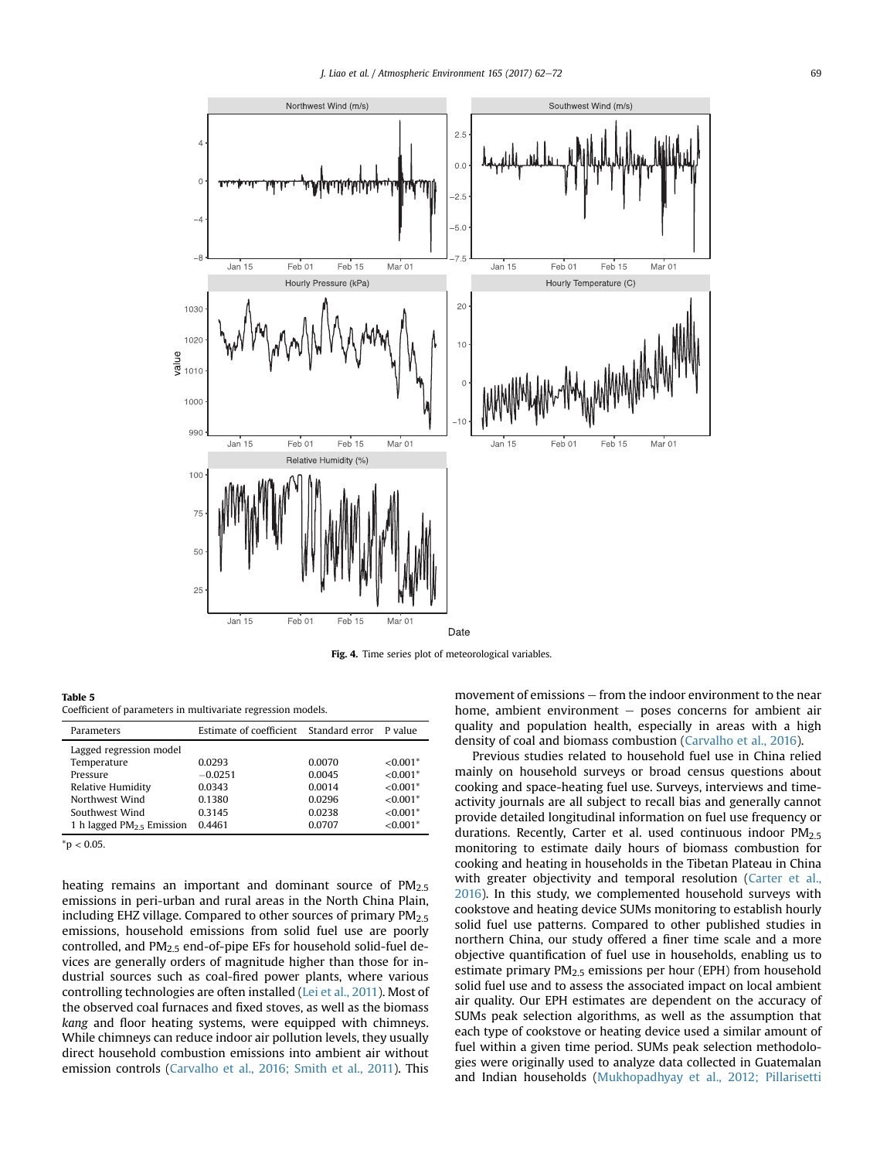<span id="page-7-0"></span>

Fig. 4. Time series plot of meteorological variables.

Table 5 Coefficient of parameters in multivariate regression models.

| Parameters                  | Estimate of coefficient Standard error |        | P value    |
|-----------------------------|----------------------------------------|--------|------------|
| Lagged regression model     |                                        |        |            |
| Temperature                 | 0.0293                                 | 0.0070 | $< 0.001*$ |
| Pressure                    | $-0.0251$                              | 0.0045 | $< 0.001*$ |
| Relative Humidity           | 0.0343                                 | 0.0014 | $< 0.001*$ |
| Northwest Wind              | 0.1380                                 | 0.0296 | $< 0.001*$ |
| Southwest Wind              | 0.3145                                 | 0.0238 | $< 0.001*$ |
| 1 h lagged $PM2$ , Emission | 0.4461                                 | 0.0707 | $< 0.001*$ |

 $*$ p < 0.05.

heating remains an important and dominant source of  $PM<sub>2.5</sub>$ emissions in peri-urban and rural areas in the North China Plain, including EHZ village. Compared to other sources of primary  $PM<sub>2.5</sub>$ emissions, household emissions from solid fuel use are poorly controlled, and  $PM<sub>2.5</sub>$  end-of-pipe EFs for household solid-fuel devices are generally orders of magnitude higher than those for industrial sources such as coal-fired power plants, where various controlling technologies are often installed [\(Lei et al., 2011\)](#page-9-0). Most of the observed coal furnaces and fixed stoves, as well as the biomass kang and floor heating systems, were equipped with chimneys. While chimneys can reduce indoor air pollution levels, they usually direct household combustion emissions into ambient air without emission controls [\(Carvalho et al., 2016; Smith et al., 2011\)](#page-9-0). This movement of emissions  $-$  from the indoor environment to the near home, ambient environment  $-$  poses concerns for ambient air quality and population health, especially in areas with a high density of coal and biomass combustion [\(Carvalho et al., 2016\)](#page-9-0).

Previous studies related to household fuel use in China relied mainly on household surveys or broad census questions about cooking and space-heating fuel use. Surveys, interviews and timeactivity journals are all subject to recall bias and generally cannot provide detailed longitudinal information on fuel use frequency or durations. Recently, Carter et al. used continuous indoor PM<sub>2.5</sub> monitoring to estimate daily hours of biomass combustion for cooking and heating in households in the Tibetan Plateau in China with greater objectivity and temporal resolution ([Carter et al.,](#page-9-0) [2016\)](#page-9-0). In this study, we complemented household surveys with cookstove and heating device SUMs monitoring to establish hourly solid fuel use patterns. Compared to other published studies in northern China, our study offered a finer time scale and a more objective quantification of fuel use in households, enabling us to estimate primary PM<sub>2.5</sub> emissions per hour (EPH) from household solid fuel use and to assess the associated impact on local ambient air quality. Our EPH estimates are dependent on the accuracy of SUMs peak selection algorithms, as well as the assumption that each type of cookstove or heating device used a similar amount of fuel within a given time period. SUMs peak selection methodologies were originally used to analyze data collected in Guatemalan and Indian households [\(Mukhopadhyay et al., 2012; Pillarisetti](#page-9-0)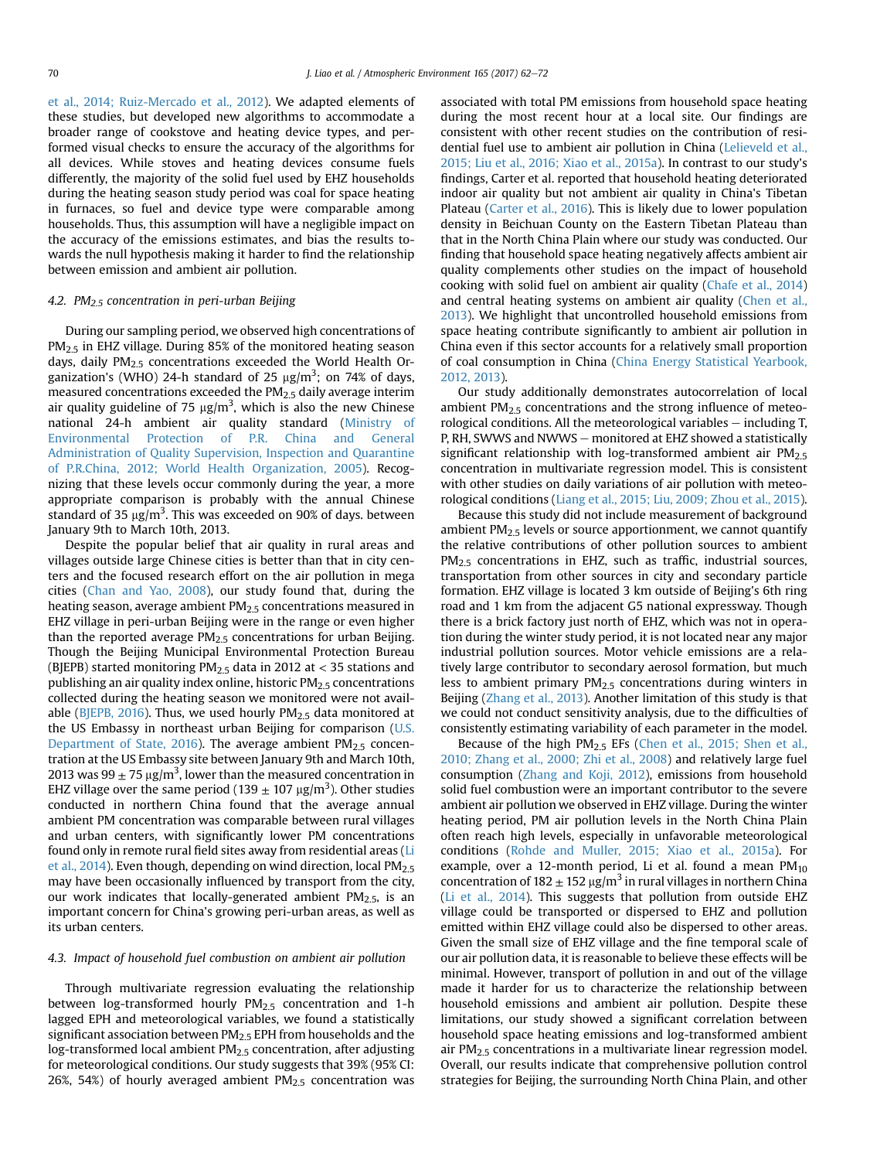[et al., 2014; Ruiz-Mercado et al., 2012\)](#page-9-0). We adapted elements of these studies, but developed new algorithms to accommodate a broader range of cookstove and heating device types, and performed visual checks to ensure the accuracy of the algorithms for all devices. While stoves and heating devices consume fuels differently, the majority of the solid fuel used by EHZ households during the heating season study period was coal for space heating in furnaces, so fuel and device type were comparable among households. Thus, this assumption will have a negligible impact on the accuracy of the emissions estimates, and bias the results towards the null hypothesis making it harder to find the relationship between emission and ambient air pollution.

#### 4.2. PM $_{2.5}$  concentration in peri-urban Beijing

During our sampling period, we observed high concentrations of PM<sub>2.5</sub> in EHZ village. During 85% of the monitored heating season days, daily PM2.5 concentrations exceeded the World Health Organization's (WHO) 24-h standard of 25  $\mu$ g/m $^3$ ; on 74% of days, measured concentrations exceeded the PM2.5 daily average interim air quality guideline of 75  $\mu$ g/m<sup>3</sup>, which is also the new Chinese national 24-h ambient air quality standard [\(Ministry of](#page-9-0) [Environmental Protection of P.R. China and General](#page-9-0) [Administration of Quality Supervision, Inspection and Quarantine](#page-9-0) [of P.R.China, 2012; World Health Organization, 2005](#page-9-0)). Recognizing that these levels occur commonly during the year, a more appropriate comparison is probably with the annual Chinese standard of 35  $\mu$ g/m $^3$ . This was exceeded on 90% of days. between January 9th to March 10th, 2013.

Despite the popular belief that air quality in rural areas and villages outside large Chinese cities is better than that in city centers and the focused research effort on the air pollution in mega cities ([Chan and Yao, 2008](#page-9-0)), our study found that, during the heating season, average ambient PM<sub>2.5</sub> concentrations measured in EHZ village in peri-urban Beijing were in the range or even higher than the reported average  $PM<sub>2.5</sub>$  concentrations for urban Beijing. Though the Beijing Municipal Environmental Protection Bureau (BJEPB) started monitoring  $PM_{2.5}$  data in 2012 at < 35 stations and publishing an air quality index online, historic PM2.5 concentrations collected during the heating season we monitored were not avail-able [\(BJEPB, 2016\)](#page-9-0). Thus, we used hourly  $PM<sub>2.5</sub>$  data monitored at the US Embassy in northeast urban Beijing for comparison [\(U.S.](#page-10-0) [Department of State, 2016](#page-10-0)). The average ambient  $PM<sub>2.5</sub>$  concentration at the US Embassy site between January 9th and March 10th, 2013 was 99  $\pm$  75  $\mu$ g/m $^3$ , lower than the measured concentration in EHZ village over the same period (139  $\pm$  107  $\mu$ g/m<sup>3</sup>). Other studies conducted in northern China found that the average annual ambient PM concentration was comparable between rural villages and urban centers, with significantly lower PM concentrations found only in remote rural field sites away from residential areas [\(Li](#page-9-0) [et al., 2014\)](#page-9-0). Even though, depending on wind direction, local PM2.5 may have been occasionally influenced by transport from the city, our work indicates that locally-generated ambient  $PM<sub>2.5</sub>$ , is an important concern for China's growing peri-urban areas, as well as its urban centers.

# 4.3. Impact of household fuel combustion on ambient air pollution

Through multivariate regression evaluating the relationship between log-transformed hourly PM2.5 concentration and 1-h lagged EPH and meteorological variables, we found a statistically significant association between PM2.5 EPH from households and the log-transformed local ambient PM2.5 concentration, after adjusting for meteorological conditions. Our study suggests that 39% (95% CI: 26%, 54%) of hourly averaged ambient  $PM<sub>2.5</sub>$  concentration was associated with total PM emissions from household space heating during the most recent hour at a local site. Our findings are consistent with other recent studies on the contribution of residential fuel use to ambient air pollution in China ([Lelieveld et al.,](#page-9-0) [2015; Liu et al., 2016; Xiao et al., 2015a](#page-9-0)). In contrast to our study's findings, Carter et al. reported that household heating deteriorated indoor air quality but not ambient air quality in China's Tibetan Plateau [\(Carter et al., 2016](#page-9-0)). This is likely due to lower population density in Beichuan County on the Eastern Tibetan Plateau than that in the North China Plain where our study was conducted. Our finding that household space heating negatively affects ambient air quality complements other studies on the impact of household cooking with solid fuel on ambient air quality [\(Chafe et al., 2014\)](#page-9-0) and central heating systems on ambient air quality ([Chen et al.,](#page-9-0) [2013\)](#page-9-0). We highlight that uncontrolled household emissions from space heating contribute significantly to ambient air pollution in China even if this sector accounts for a relatively small proportion of coal consumption in China ([China Energy Statistical Yearbook,](#page-9-0) [2012, 2013\)](#page-9-0).

Our study additionally demonstrates autocorrelation of local ambient  $PM<sub>2.5</sub>$  concentrations and the strong influence of meteorological conditions. All the meteorological variables  $-$  including  $T$ , P, RH, SWWS and NWWS - monitored at EHZ showed a statistically significant relationship with log-transformed ambient air  $PM<sub>2.5</sub>$ concentration in multivariate regression model. This is consistent with other studies on daily variations of air pollution with meteorological conditions ([Liang et al., 2015; Liu, 2009; Zhou et al., 2015\)](#page-9-0).

Because this study did not include measurement of background ambient PM<sub>2.5</sub> levels or source apportionment, we cannot quantify the relative contributions of other pollution sources to ambient PM<sub>2.5</sub> concentrations in EHZ, such as traffic, industrial sources, transportation from other sources in city and secondary particle formation. EHZ village is located 3 km outside of Beijing's 6th ring road and 1 km from the adjacent G5 national expressway. Though there is a brick factory just north of EHZ, which was not in operation during the winter study period, it is not located near any major industrial pollution sources. Motor vehicle emissions are a relatively large contributor to secondary aerosol formation, but much less to ambient primary PM<sub>2.5</sub> concentrations during winters in Beijing [\(Zhang et al., 2013\)](#page-10-0). Another limitation of this study is that we could not conduct sensitivity analysis, due to the difficulties of consistently estimating variability of each parameter in the model.

Because of the high  $PM<sub>2.5</sub>$  EFs ([Chen et al., 2015; Shen et al.,](#page-9-0) [2010; Zhang et al., 2000; Zhi et al., 2008\)](#page-9-0) and relatively large fuel consumption [\(Zhang and Koji, 2012\)](#page-10-0), emissions from household solid fuel combustion were an important contributor to the severe ambient air pollution we observed in EHZ village. During the winter heating period, PM air pollution levels in the North China Plain often reach high levels, especially in unfavorable meteorological conditions ([Rohde and Muller, 2015; Xiao et al., 2015a](#page-9-0)). For example, over a 12-month period, Li et al. found a mean  $PM_{10}$ concentration of  $182 \pm 152 \,\mu$ g/m<sup>3</sup> in rural villages in northern China ([Li et al., 2014\)](#page-9-0). This suggests that pollution from outside EHZ village could be transported or dispersed to EHZ and pollution emitted within EHZ village could also be dispersed to other areas. Given the small size of EHZ village and the fine temporal scale of our air pollution data, it is reasonable to believe these effects will be minimal. However, transport of pollution in and out of the village made it harder for us to characterize the relationship between household emissions and ambient air pollution. Despite these limitations, our study showed a significant correlation between household space heating emissions and log-transformed ambient air PM2.5 concentrations in a multivariate linear regression model. Overall, our results indicate that comprehensive pollution control strategies for Beijing, the surrounding North China Plain, and other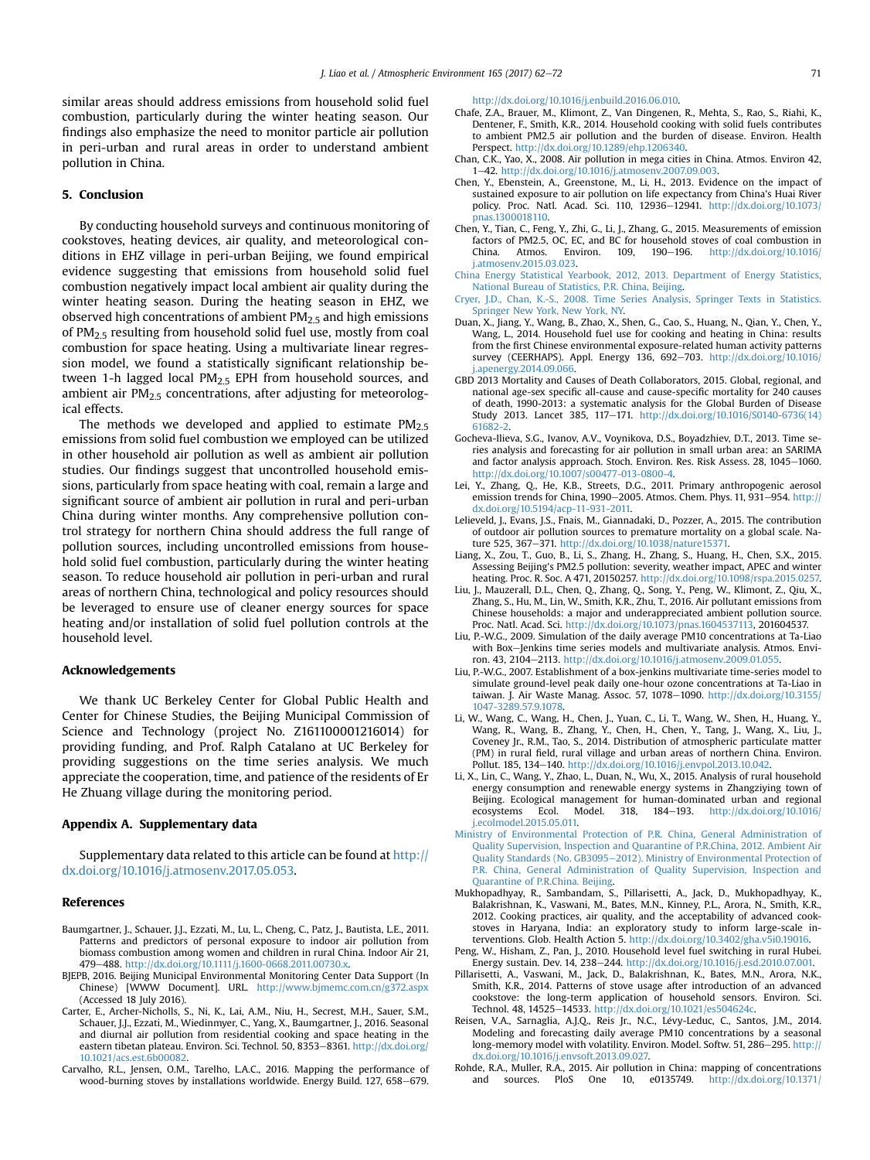<span id="page-9-0"></span>similar areas should address emissions from household solid fuel combustion, particularly during the winter heating season. Our findings also emphasize the need to monitor particle air pollution in peri-urban and rural areas in order to understand ambient pollution in China.

# 5. Conclusion

By conducting household surveys and continuous monitoring of cookstoves, heating devices, air quality, and meteorological conditions in EHZ village in peri-urban Beijing, we found empirical evidence suggesting that emissions from household solid fuel combustion negatively impact local ambient air quality during the winter heating season. During the heating season in EHZ, we observed high concentrations of ambient  $PM<sub>2</sub>$  and high emissions of PM2.5 resulting from household solid fuel use, mostly from coal combustion for space heating. Using a multivariate linear regression model, we found a statistically significant relationship between 1-h lagged local  $PM<sub>2.5</sub>$  EPH from household sources, and ambient air  $PM<sub>2.5</sub>$  concentrations, after adjusting for meteorological effects.

The methods we developed and applied to estimate  $PM_{2.5}$ emissions from solid fuel combustion we employed can be utilized in other household air pollution as well as ambient air pollution studies. Our findings suggest that uncontrolled household emissions, particularly from space heating with coal, remain a large and significant source of ambient air pollution in rural and peri-urban China during winter months. Any comprehensive pollution control strategy for northern China should address the full range of pollution sources, including uncontrolled emissions from household solid fuel combustion, particularly during the winter heating season. To reduce household air pollution in peri-urban and rural areas of northern China, technological and policy resources should be leveraged to ensure use of cleaner energy sources for space heating and/or installation of solid fuel pollution controls at the household level.

# Acknowledgements

We thank UC Berkeley Center for Global Public Health and Center for Chinese Studies, the Beijing Municipal Commission of Science and Technology (project No. Z161100001216014) for providing funding, and Prof. Ralph Catalano at UC Berkeley for providing suggestions on the time series analysis. We much appreciate the cooperation, time, and patience of the residents of Er He Zhuang village during the monitoring period.

# Appendix A. Supplementary data

Supplementary data related to this article can be found at [http://](http://dx.doi.org/10.1016/j.atmosenv.2017.05.053) [dx.doi.org/10.1016/j.atmosenv.2017.05.053](http://dx.doi.org/10.1016/j.atmosenv.2017.05.053).

#### References

- Baumgartner, J., Schauer, J.J., Ezzati, M., Lu, L., Cheng, C., Patz, J., Bautista, L.E., 2011. Patterns and predictors of personal exposure to indoor air pollution from biomass combustion among women and children in rural China. Indoor Air 21, 479-488. [http://dx.doi.org/10.1111/j.1600-0668.2011.00730.x.](http://dx.doi.org/10.1111/j.1600-0668.2011.00730.x)
- BJEPB, 2016. Beijing Municipal Environmental Monitoring Center Data Support (In Chinese) [WWW Document]. URL. <http://www.bjmemc.com.cn/g372.aspx> (Accessed 18 July 2016).
- Carter, E., Archer-Nicholls, S., Ni, K., Lai, A.M., Niu, H., Secrest, M.H., Sauer, S.M., Schauer, J.J., Ezzati, M., Wiedinmyer, C., Yang, X., Baumgartner, J., 2016. Seasonal and diurnal air pollution from residential cooking and space heating in the eastern tibetan plateau. Environ. Sci. Technol. 50, 8353-8361. [http://dx.doi.org/](http://dx.doi.org/10.1021/acs.est.6b00082) [10.1021/acs.est.6b00082.](http://dx.doi.org/10.1021/acs.est.6b00082)
- Carvalho, R.L., Jensen, O.M., Tarelho, L.A.C., 2016. Mapping the performance of wood-burning stoves by installations worldwide. Energy Build. 127, 658-679.

<http://dx.doi.org/10.1016/j.enbuild.2016.06.010>.

- Chafe, Z.A., Brauer, M., Klimont, Z., Van Dingenen, R., Mehta, S., Rao, S., Riahi, K., Dentener, F., Smith, K.R., 2014. Household cooking with solid fuels contributes to ambient PM2.5 air pollution and the burden of disease. Environ. Health Perspect. <http://dx.doi.org/10.1289/ehp.1206340>.
- Chan, C.K., Yao, X., 2008. Air pollution in mega cities in China. Atmos. Environ 42, 1e42. <http://dx.doi.org/10.1016/j.atmosenv.2007.09.003>.
- Chen, Y., Ebenstein, A., Greenstone, M., Li, H., 2013. Evidence on the impact of sustained exposure to air pollution on life expectancy from China's Huai River policy. Proc. Natl. Acad. Sci. 110, 12936-12941. [http://dx.doi.org/10.1073/](http://dx.doi.org/10.1073/pnas.1300018110) [pnas.1300018110.](http://dx.doi.org/10.1073/pnas.1300018110)
- Chen, Y., Tian, C., Feng, Y., Zhi, G., Li, J., Zhang, G., 2015. Measurements of emission factors of PM2.5, OC, EC, and BC for household stoves of coal combustion in China. Atmos. Environ. 109. 190-196. [http://dx.doi.org/10.1016/](http://dx.doi.org/10.1016/j.atmosenv.2015.03.023) [j.atmosenv.2015.03.023](http://dx.doi.org/10.1016/j.atmosenv.2015.03.023).
- [China Energy Statistical Yearbook, 2012, 2013. Department of Energy Statistics,](http://refhub.elsevier.com/S1352-2310(17)30392-8/sref9) [National Bureau of Statistics, P.R. China, Beijing](http://refhub.elsevier.com/S1352-2310(17)30392-8/sref9).
- [Cryer, J.D., Chan, K.-S., 2008. Time Series Analysis, Springer Texts in Statistics.](http://refhub.elsevier.com/S1352-2310(17)30392-8/sref10) [Springer New York, New York, NY.](http://refhub.elsevier.com/S1352-2310(17)30392-8/sref10)
- Duan, X., Jiang, Y., Wang, B., Zhao, X., Shen, G., Cao, S., Huang, N., Qian, Y., Chen, Y., Wang, L., 2014. Household fuel use for cooking and heating in China: results from the first Chinese environmental exposure-related human activity patterns survey (CEERHAPS). Appl. Energy 136, 692-703. [http://dx.doi.org/10.1016/](http://dx.doi.org/10.1016/j.apenergy.2014.09.066) [j.apenergy.2014.09.066](http://dx.doi.org/10.1016/j.apenergy.2014.09.066).
- GBD 2013 Mortality and Causes of Death Collaborators, 2015. Global, regional, and national age-sex specific all-cause and cause-specific mortality for 240 causes of death, 1990-2013: a systematic analysis for the Global Burden of Disease Study 2013. Lancet 385, 117-171. [http://dx.doi.org/10.1016/S0140-6736\(14\)](http://dx.doi.org/10.1016/S0140-6736(14)61682-2) [61682-2](http://dx.doi.org/10.1016/S0140-6736(14)61682-2).
- Gocheva-Ilieva, S.G., Ivanov, A.V., Voynikova, D.S., Boyadzhiev, D.T., 2013. Time series analysis and forecasting for air pollution in small urban area: an SARIMA and factor analysis approach. Stoch. Environ. Res. Risk Assess. 28, 1045-1060. [http://dx.doi.org/10.1007/s00477-013-0800-4.](http://dx.doi.org/10.1007/s00477-013-0800-4)
- Lei, Y., Zhang, Q., He, K.B., Streets, D.G., 2011. Primary anthropogenic aerosol emission trends for China, 1990-2005. Atmos. Chem. Phys. 11, 931-954. [http://](http://dx.doi.org/10.5194/acp-11-931-2011) [dx.doi.org/10.5194/acp-11-931-2011.](http://dx.doi.org/10.5194/acp-11-931-2011)
- Lelieveld, J., Evans, J.S., Fnais, M., Giannadaki, D., Pozzer, A., 2015. The contribution of outdoor air pollution sources to premature mortality on a global scale. Nature 525, 367-371. [http://dx.doi.org/10.1038/nature15371.](http://dx.doi.org/10.1038/nature15371)
- Liang, X., Zou, T., Guo, B., Li, S., Zhang, H., Zhang, S., Huang, H., Chen, S.X., 2015. Assessing Beijing's PM2.5 pollution: severity, weather impact, APEC and winter heating. Proc. R. Soc. A 471, 20150257. [http://dx.doi.org/10.1098/rspa.2015.0257.](http://dx.doi.org/10.1098/rspa.2015.0257)
- Liu, J., Mauzerall, D.L., Chen, Q., Zhang, Q., Song, Y., Peng, W., Klimont, Z., Qiu, X., Zhang, S., Hu, M., Lin, W., Smith, K.R., Zhu, T., 2016. Air pollutant emissions from Chinese households: a major and underappreciated ambient pollution source. Proc. Natl. Acad. Sci. [http://dx.doi.org/10.1073/pnas.1604537113,](http://dx.doi.org/10.1073/pnas.1604537113) 201604537.
- Liu, P.-W.G., 2009. Simulation of the daily average PM10 concentrations at Ta-Liao with Box-Jenkins time series models and multivariate analysis. Atmos. Environ. 43, 2104-2113. http://dx.doi.org/10.1016/j.atmosenv.2009.01.055
- Liu, P.-W.G., 2007. Establishment of a box-jenkins multivariate time-series model to simulate ground-level peak daily one-hour ozone concentrations at Ta-Liao in taiwan. J. Air Waste Manag. Assoc. 57, 1078-1090. [http://dx.doi.org/10.3155/](http://dx.doi.org/10.3155/1047-3289.57.9.1078) [1047-3289.57.9.1078](http://dx.doi.org/10.3155/1047-3289.57.9.1078).
- Li, W., Wang, C., Wang, H., Chen, J., Yuan, C., Li, T., Wang, W., Shen, H., Huang, Y., Wang, R., Wang, B., Zhang, Y., Chen, H., Chen, Y., Tang, J., Wang, X., Liu, J., Coveney Jr., R.M., Tao, S., 2014. Distribution of atmospheric particulate matter (PM) in rural field, rural village and urban areas of northern China. Environ. Pollut. 185, 134-140. [http://dx.doi.org/10.1016/j.envpol.2013.10.042.](http://dx.doi.org/10.1016/j.envpol.2013.10.042)
- Li, X., Lin, C., Wang, Y., Zhao, L., Duan, N., Wu, X., 2015. Analysis of rural household energy consumption and renewable energy systems in Zhangziying town of Beijing. Ecological management for human-dominated urban and regional ecosystems Ecol. Model. 318, 184-193. http://dx.doi.org/10.1016/  $http://dx.doi.org/10.1016$ [j.ecolmodel.2015.05.011.](http://dx.doi.org/10.1016/j.ecolmodel.2015.05.011)
- [Ministry of Environmental Protection of P.R. China, General Administration of](http://refhub.elsevier.com/S1352-2310(17)30392-8/sref22) [Quality Supervision, Inspection and Quarantine of P.R.China, 2012. Ambient Air](http://refhub.elsevier.com/S1352-2310(17)30392-8/sref22) [Quality Standards \(No. GB3095](http://refhub.elsevier.com/S1352-2310(17)30392-8/sref22)-[2012\). Ministry of Environmental Protection of](http://refhub.elsevier.com/S1352-2310(17)30392-8/sref22) [P.R. China, General Administration of Quality Supervision, Inspection and](http://refhub.elsevier.com/S1352-2310(17)30392-8/sref22) [Quarantine of P.R.China. Beijing](http://refhub.elsevier.com/S1352-2310(17)30392-8/sref22).
- Mukhopadhyay, R., Sambandam, S., Pillarisetti, A., Jack, D., Mukhopadhyay, K., Balakrishnan, K., Vaswani, M., Bates, M.N., Kinney, P.L., Arora, N., Smith, K.R., 2012. Cooking practices, air quality, and the acceptability of advanced cookstoves in Haryana, India: an exploratory study to inform large-scale interventions. Glob. Health Action 5. [http://dx.doi.org/10.3402/gha.v5i0.19016.](http://dx.doi.org/10.3402/gha.v5i0.19016)
- Peng, W., Hisham, Z., Pan, J., 2010. Household level fuel switching in rural Hubei. Energy sustain. Dev. 14, 238-244. [http://dx.doi.org/10.1016/j.esd.2010.07.001.](http://dx.doi.org/10.1016/j.esd.2010.07.001)
- Pillarisetti, A., Vaswani, M., Jack, D., Balakrishnan, K., Bates, M.N., Arora, N.K., Smith, K.R., 2014. Patterns of stove usage after introduction of an advanced cookstove: the long-term application of household sensors. Environ. Sci. Technol. 48, 14525-14533. <http://dx.doi.org/10.1021/es504624c>.
- Reisen, V.A., Sarnaglia, A.J.Q., Reis Jr., N.C., Lévy-Leduc, C., Santos, J.M., 2014. Modeling and forecasting daily average PM10 concentrations by a seasonal long-memory model with volatility. Environ. Model. Softw. 51, 286-295. [http://](http://dx.doi.org/10.1016/j.envsoft.2013.09.027) [dx.doi.org/10.1016/j.envsoft.2013.09.027.](http://dx.doi.org/10.1016/j.envsoft.2013.09.027)
- Rohde, R.A., Muller, R.A., 2015. Air pollution in China: mapping of concentrations and sources. PloS One 10, e0135749. [http://dx.doi.org/10.1371/](http://dx.doi.org/10.1371/journal.pone.0135749)